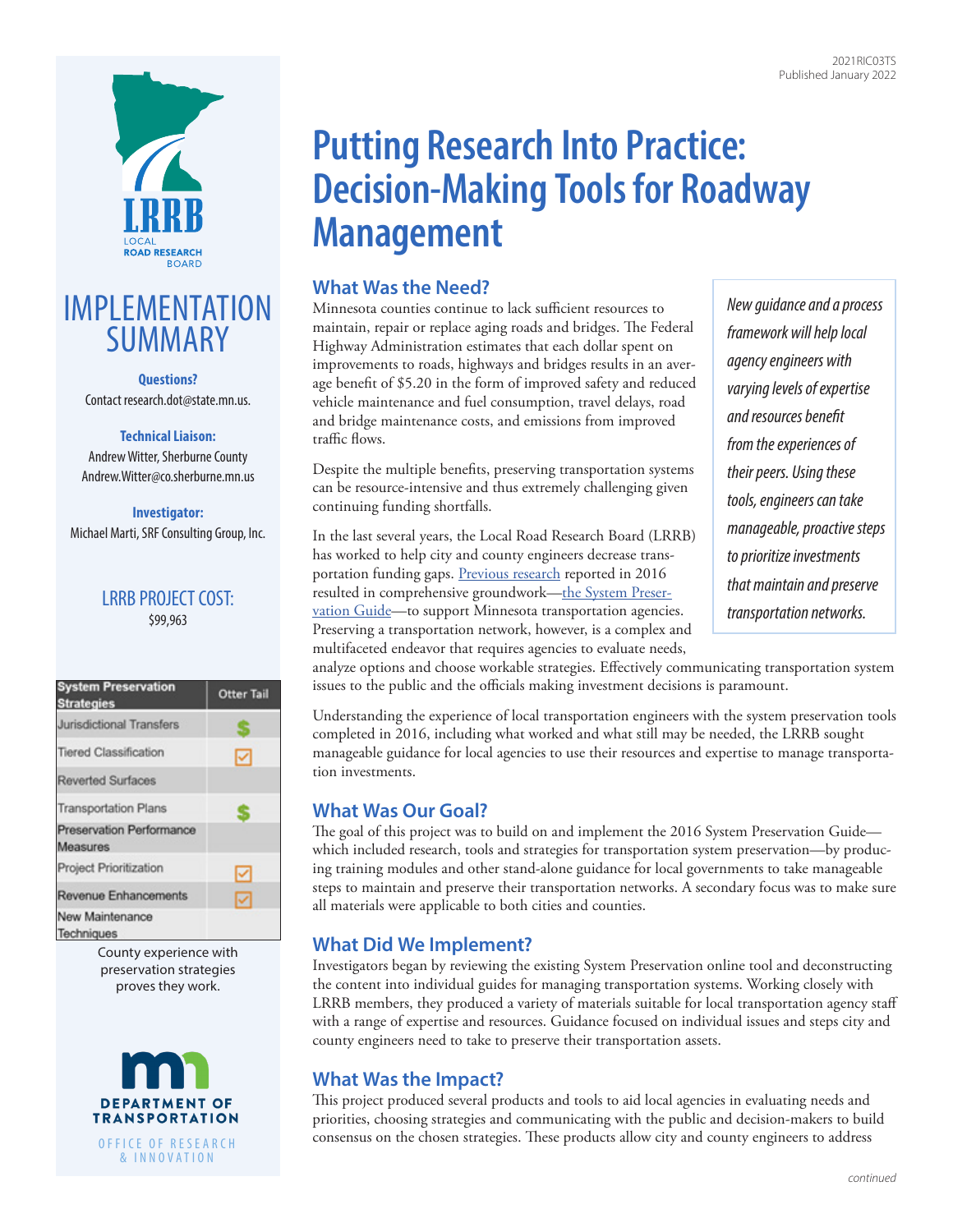

## IMPLEMENTATION SUMMARY

**Questions?** Contact research.dot@state.mn.us.

#### **Technical Liaison:**

Andrew Witter, Sherburne County Andrew.Witter@co.sherburne.mn.us

#### **Investigator:** Michael Marti, SRF Consulting Group, Inc.

## LRRB PROJECT COST: \$99,963

| <b>System Preservation</b><br><b>Strategies</b> | <b>Otter Tail</b> |
|-------------------------------------------------|-------------------|
| Jurisdictional Transfers                        |                   |
| <b>Tiered Classification</b>                    |                   |
| <b>Reverted Surfaces</b>                        |                   |
| <b>Transportation Plans</b>                     |                   |
| Preservation Performance<br>Measures            |                   |
| Project Prioritization                          | ✓                 |
| <b>Revenue Enhancements</b>                     | ✓                 |
| New Maintenance<br>Techniques                   |                   |

County experience with preservation strategies proves they work.



# **Putting Research Into Practice: Decision-Making Tools for Roadway Management**

## **What Was the Need?**

Minnesota counties continue to lack sufficient resources to maintain, repair or replace aging roads and bridges. The Federal Highway Administration estimates that each dollar spent on improvements to roads, highways and bridges results in an average benefit of \$5.20 in the form of improved safety and reduced vehicle maintenance and fuel consumption, travel delays, road and bridge maintenance costs, and emissions from improved traffic flows.

Despite the multiple benefits, preserving transportation systems can be resource-intensive and thus extremely challenging given continuing funding shortfalls.

In the last several years, the Local Road Research Board (LRRB) has worked to help city and county engineers decrease trans-portation funding gaps. [Previous research](https://researchprojects.dot.state.mn.us/projectpages/pages/lrrbProjectDetails.jsf?id=8351&type=CONTRACT&jftfdi=&jffi=lrrbProjectDetails%3Fid%3D8351%26type%3DCONTRACT) reported in 2016 resulted in comprehensive groundwork—the System Preser[vation Guide—to support Minnesota transportation agencie](http://www.dot.state.mn.us/research/TS/2016/201634A.pdf)s. Preserving a transportation network, however, is a complex and multifaceted endeavor that requires agencies to evaluate needs,

*New guidance and a process framework will help local agency engineers with varying levels of expertise and resources benefit from the experiences of their peers. Using these tools, engineers can take manageable, proactive steps to prioritize investments that maintain and preserve transportation networks.* 

analyze options and choose workable strategies. Effectively communicating transportation system issues to the public and the officials making investment decisions is paramount.

Understanding the experience of local transportation engineers with the system preservation tools completed in 2016, including what worked and what still may be needed, the LRRB sought manageable guidance for local agencies to use their resources and expertise to manage transportation investments.

## **What Was Our Goal?**

The goal of this project was to build on and implement the 2016 System Preservation Guide which included research, tools and strategies for transportation system preservation—by producing training modules and other stand-alone guidance for local governments to take manageable steps to maintain and preserve their transportation networks. A secondary focus was to make sure all materials were applicable to both cities and counties.

## **What Did We Implement?**

Investigators began by reviewing the existing System Preservation online tool and deconstructing the content into individual guides for managing transportation systems. Working closely with LRRB members, they produced a variety of materials suitable for local transportation agency staff with a range of expertise and resources. Guidance focused on individual issues and steps city and county engineers need to take to preserve their transportation assets.

## **What Was the Impact?**

This project produced several products and tools to aid local agencies in evaluating needs and priorities, choosing strategies and communicating with the public and decision-makers to build consensus on the chosen strategies. These products allow city and county engineers to address